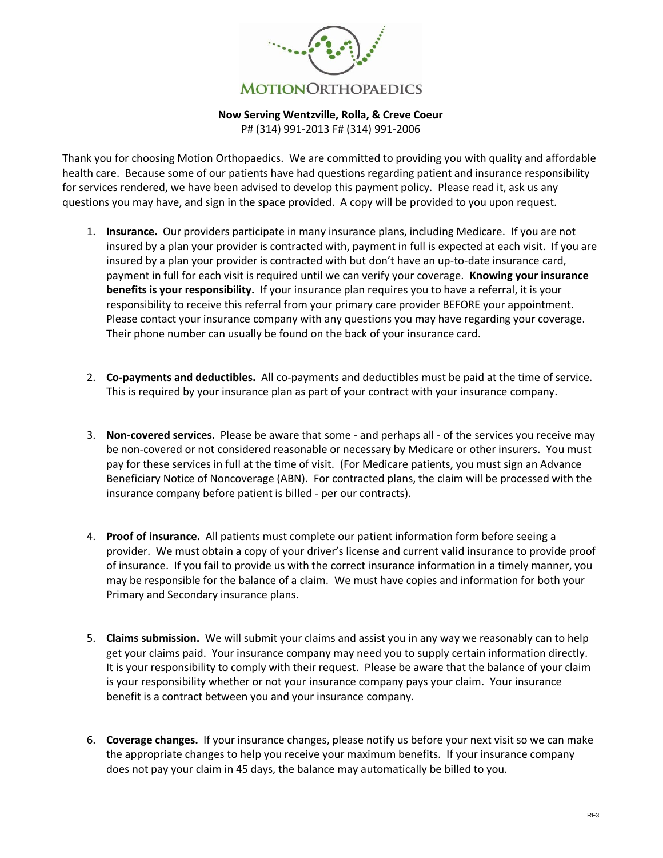

## **Now Serving Wentzville, Rolla, & Creve Coeur**

P# (314) 991-2013 F# (314) 991-2006

Thank you for choosing Motion Orthopaedics. We are committed to providing you with quality and affordable health care. Because some of our patients have had questions regarding patient and insurance responsibility for services rendered, we have been advised to develop this payment policy. Please read it, ask us any questions you may have, and sign in the space provided. A copy will be provided to you upon request.

- 1. **Insurance.** Our providers participate in many insurance plans, including Medicare. If you are not insured by a plan your provider is contracted with, payment in full is expected at each visit. If you are insured by a plan your provider is contracted with but don't have an up-to-date insurance card, payment in full for each visit is required until we can verify your coverage. **Knowing your insurance benefits is your responsibility.** If your insurance plan requires you to have a referral, it is your responsibility to receive this referral from your primary care provider BEFORE your appointment. Please contact your insurance company with any questions you may have regarding your coverage. Their phone number can usually be found on the back of your insurance card.
- 2. **Co-payments and deductibles.** All co-payments and deductibles must be paid at the time of service. This is required by your insurance plan as part of your contract with your insurance company.
- 3. **Non-covered services.** Please be aware that some and perhaps all of the services you receive may be non-covered or not considered reasonable or necessary by Medicare or other insurers. You must pay for these services in full at the time of visit. (For Medicare patients, you must sign an Advance Beneficiary Notice of Noncoverage (ABN). For contracted plans, the claim will be processed with the insurance company before patient is billed - per our contracts).
- 4. **Proof of insurance.** All patients must complete our patient information form before seeing a provider. We must obtain a copy of your driver's license and current valid insurance to provide proof of insurance. If you fail to provide us with the correct insurance information in a timely manner, you may be responsible for the balance of a claim. We must have copies and information for both your Primary and Secondary insurance plans.
- 5. **Claims submission.** We will submit your claims and assist you in any way we reasonably can to help get your claims paid. Your insurance company may need you to supply certain information directly. It is your responsibility to comply with their request. Please be aware that the balance of your claim is your responsibility whether or not your insurance company pays your claim. Your insurance benefit is a contract between you and your insurance company.
- 6. **Coverage changes.** If your insurance changes, please notify us before your next visit so we can make the appropriate changes to help you receive your maximum benefits. If your insurance company does not pay your claim in 45 days, the balance may automatically be billed to you.